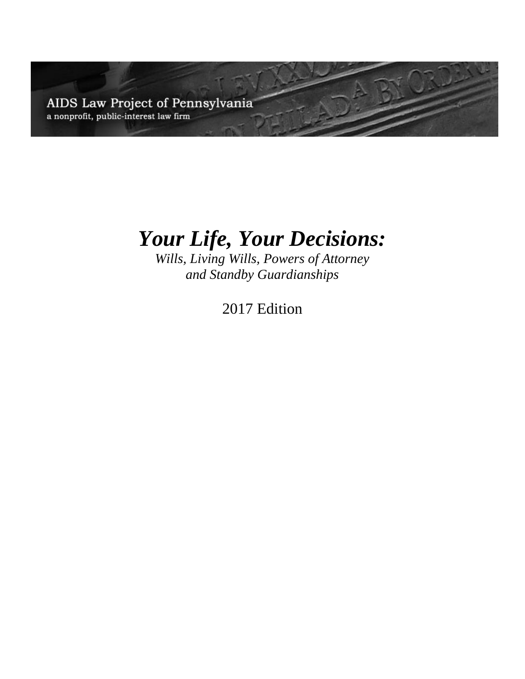AIDS Law Project of Pennsylvania a nonprofit, public-interest law firm

# *Your Life, Your Decisions:*

*Wills, Living Wills, Powers of Attorney and Standby Guardianships*

2017 Edition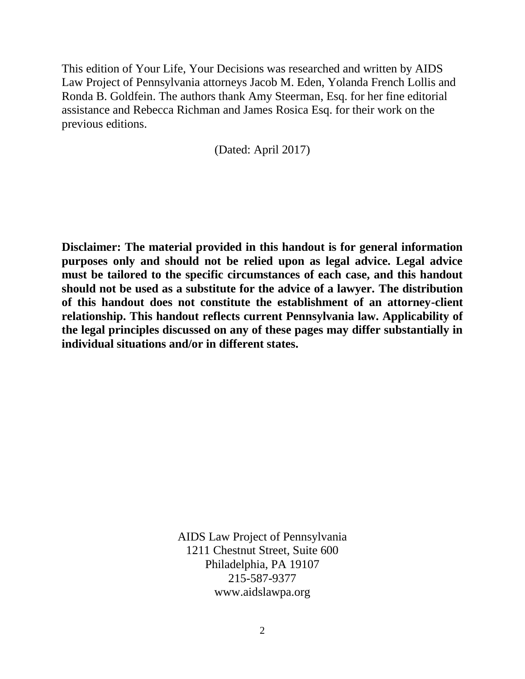This edition of Your Life, Your Decisions was researched and written by AIDS Law Project of Pennsylvania attorneys Jacob M. Eden, Yolanda French Lollis and Ronda B. Goldfein. The authors thank Amy Steerman, Esq. for her fine editorial assistance and Rebecca Richman and James Rosica Esq. for their work on the previous editions.

(Dated: April 2017)

**Disclaimer: The material provided in this handout is for general information purposes only and should not be relied upon as legal advice. Legal advice must be tailored to the specific circumstances of each case, and this handout should not be used as a substitute for the advice of a lawyer. The distribution of this handout does not constitute the establishment of an attorney-client relationship. This handout reflects current Pennsylvania law. Applicability of the legal principles discussed on any of these pages may differ substantially in individual situations and/or in different states.**

> AIDS Law Project of Pennsylvania 1211 Chestnut Street, Suite 600 Philadelphia, PA 19107 215-587-9377 www.aidslawpa.org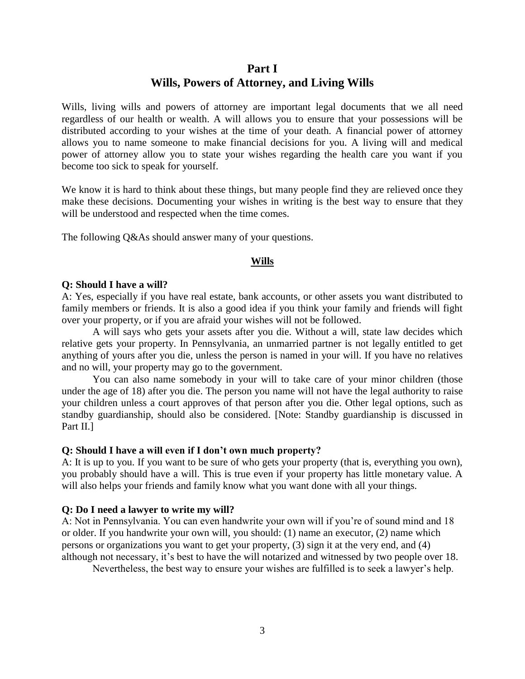# **Part I Wills, Powers of Attorney, and Living Wills**

Wills, living wills and powers of attorney are important legal documents that we all need regardless of our health or wealth. A will allows you to ensure that your possessions will be distributed according to your wishes at the time of your death. A financial power of attorney allows you to name someone to make financial decisions for you. A living will and medical power of attorney allow you to state your wishes regarding the health care you want if you become too sick to speak for yourself.

We know it is hard to think about these things, but many people find they are relieved once they make these decisions. Documenting your wishes in writing is the best way to ensure that they will be understood and respected when the time comes.

The following Q&As should answer many of your questions.

#### **Wills**

#### **Q: Should I have a will?**

A: Yes, especially if you have real estate, bank accounts, or other assets you want distributed to family members or friends. It is also a good idea if you think your family and friends will fight over your property, or if you are afraid your wishes will not be followed.

A will says who gets your assets after you die. Without a will, state law decides which relative gets your property. In Pennsylvania, an unmarried partner is not legally entitled to get anything of yours after you die, unless the person is named in your will. If you have no relatives and no will, your property may go to the government.

You can also name somebody in your will to take care of your minor children (those under the age of 18) after you die. The person you name will not have the legal authority to raise your children unless a court approves of that person after you die. Other legal options, such as standby guardianship, should also be considered. [Note: Standby guardianship is discussed in Part II.]

#### **Q: Should I have a will even if I don't own much property?**

A: It is up to you. If you want to be sure of who gets your property (that is, everything you own), you probably should have a will. This is true even if your property has little monetary value. A will also helps your friends and family know what you want done with all your things.

#### **Q: Do I need a lawyer to write my will?**

A: Not in Pennsylvania. You can even handwrite your own will if you're of sound mind and 18 or older. If you handwrite your own will, you should: (1) name an executor, (2) name which persons or organizations you want to get your property, (3) sign it at the very end, and (4) although not necessary, it's best to have the will notarized and witnessed by two people over 18.

Nevertheless, the best way to ensure your wishes are fulfilled is to seek a lawyer's help.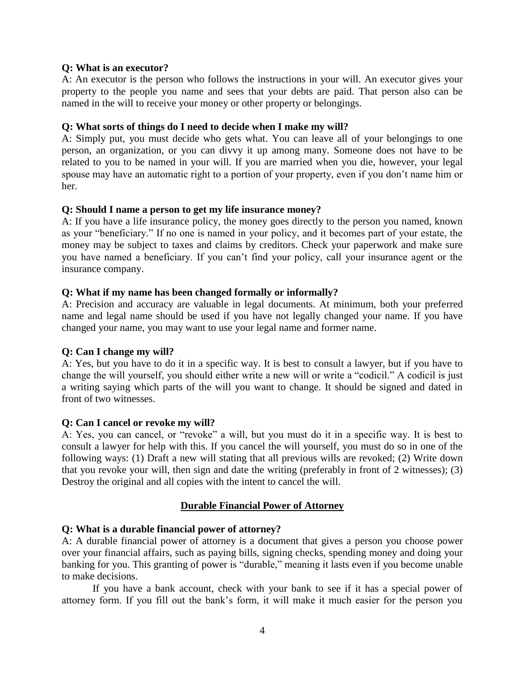#### **Q: What is an executor?**

A: An executor is the person who follows the instructions in your will. An executor gives your property to the people you name and sees that your debts are paid. That person also can be named in the will to receive your money or other property or belongings.

#### **Q: What sorts of things do I need to decide when I make my will?**

A: Simply put, you must decide who gets what. You can leave all of your belongings to one person, an organization, or you can divvy it up among many. Someone does not have to be related to you to be named in your will. If you are married when you die, however, your legal spouse may have an automatic right to a portion of your property, even if you don't name him or her.

#### **Q: Should I name a person to get my life insurance money?**

A: If you have a life insurance policy, the money goes directly to the person you named, known as your "beneficiary." If no one is named in your policy, and it becomes part of your estate, the money may be subject to taxes and claims by creditors. Check your paperwork and make sure you have named a beneficiary. If you can't find your policy, call your insurance agent or the insurance company.

#### **Q: What if my name has been changed formally or informally?**

A: Precision and accuracy are valuable in legal documents. At minimum, both your preferred name and legal name should be used if you have not legally changed your name. If you have changed your name, you may want to use your legal name and former name.

#### **Q: Can I change my will?**

A: Yes, but you have to do it in a specific way. It is best to consult a lawyer, but if you have to change the will yourself, you should either write a new will or write a "codicil." A codicil is just a writing saying which parts of the will you want to change. It should be signed and dated in front of two witnesses.

#### **Q: Can I cancel or revoke my will?**

A: Yes, you can cancel, or "revoke" a will, but you must do it in a specific way. It is best to consult a lawyer for help with this. If you cancel the will yourself, you must do so in one of the following ways: (1) Draft a new will stating that all previous wills are revoked; (2) Write down that you revoke your will, then sign and date the writing (preferably in front of 2 witnesses); (3) Destroy the original and all copies with the intent to cancel the will.

#### **Durable Financial Power of Attorney**

#### **Q: What is a durable financial power of attorney?**

A: A durable financial power of attorney is a document that gives a person you choose power over your financial affairs, such as paying bills, signing checks, spending money and doing your banking for you. This granting of power is "durable," meaning it lasts even if you become unable to make decisions.

If you have a bank account, check with your bank to see if it has a special power of attorney form. If you fill out the bank's form, it will make it much easier for the person you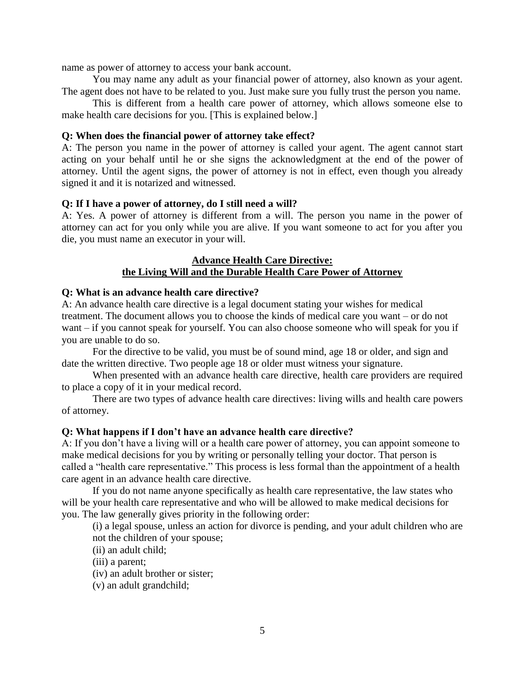name as power of attorney to access your bank account.

You may name any adult as your financial power of attorney, also known as your agent. The agent does not have to be related to you. Just make sure you fully trust the person you name.

This is different from a health care power of attorney, which allows someone else to make health care decisions for you. [This is explained below.]

#### **Q: When does the financial power of attorney take effect?**

A: The person you name in the power of attorney is called your agent. The agent cannot start acting on your behalf until he or she signs the acknowledgment at the end of the power of attorney. Until the agent signs, the power of attorney is not in effect, even though you already signed it and it is notarized and witnessed.

#### **Q: If I have a power of attorney, do I still need a will?**

A: Yes. A power of attorney is different from a will. The person you name in the power of attorney can act for you only while you are alive. If you want someone to act for you after you die, you must name an executor in your will.

#### **Advance Health Care Directive: the Living Will and the Durable Health Care Power of Attorney**

#### **Q: What is an advance health care directive?**

A: An advance health care directive is a legal document stating your wishes for medical treatment. The document allows you to choose the kinds of medical care you want – or do not want – if you cannot speak for yourself. You can also choose someone who will speak for you if you are unable to do so.

For the directive to be valid, you must be of sound mind, age 18 or older, and sign and date the written directive. Two people age 18 or older must witness your signature.

When presented with an advance health care directive, health care providers are required to place a copy of it in your medical record.

There are two types of advance health care directives: living wills and health care powers of attorney.

#### **Q: What happens if I don't have an advance health care directive?**

A: If you don't have a living will or a health care power of attorney, you can appoint someone to make medical decisions for you by writing or personally telling your doctor. That person is called a "health care representative." This process is less formal than the appointment of a health care agent in an advance health care directive.

If you do not name anyone specifically as health care representative, the law states who will be your health care representative and who will be allowed to make medical decisions for you. The law generally gives priority in the following order:

(i) a legal spouse, unless an action for divorce is pending, and your adult children who are not the children of your spouse;

(ii) an adult child;

(iii) a parent;

(iv) an adult brother or sister;

(v) an adult grandchild;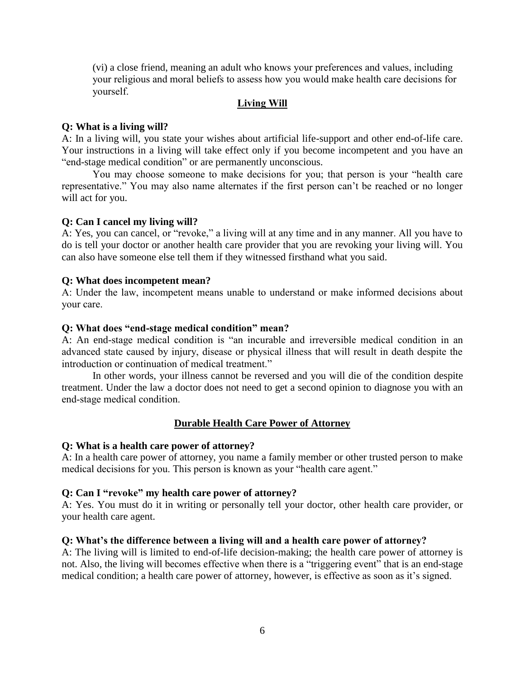(vi) a close friend, meaning an adult who knows your preferences and values, including your religious and moral beliefs to assess how you would make health care decisions for yourself.

#### **Living Will**

#### **Q: What is a living will?**

A: In a living will, you state your wishes about artificial life-support and other end-of-life care. Your instructions in a living will take effect only if you become incompetent and you have an "end-stage medical condition" or are permanently unconscious.

You may choose someone to make decisions for you; that person is your "health care representative." You may also name alternates if the first person can't be reached or no longer will act for you.

#### **Q: Can I cancel my living will?**

A: Yes, you can cancel, or "revoke," a living will at any time and in any manner. All you have to do is tell your doctor or another health care provider that you are revoking your living will. You can also have someone else tell them if they witnessed firsthand what you said.

#### **Q: What does incompetent mean?**

A: Under the law, incompetent means unable to understand or make informed decisions about your care.

#### **Q: What does "end-stage medical condition" mean?**

A: An end-stage medical condition is "an incurable and irreversible medical condition in an advanced state caused by injury, disease or physical illness that will result in death despite the introduction or continuation of medical treatment."

In other words, your illness cannot be reversed and you will die of the condition despite treatment. Under the law a doctor does not need to get a second opinion to diagnose you with an end-stage medical condition.

#### **Durable Health Care Power of Attorney**

#### **Q: What is a health care power of attorney?**

A: In a health care power of attorney, you name a family member or other trusted person to make medical decisions for you. This person is known as your "health care agent."

#### **Q: Can I "revoke" my health care power of attorney?**

A: Yes. You must do it in writing or personally tell your doctor, other health care provider, or your health care agent.

#### **Q: What's the difference between a living will and a health care power of attorney?**

A: The living will is limited to end-of-life decision-making; the health care power of attorney is not. Also, the living will becomes effective when there is a "triggering event" that is an end-stage medical condition; a health care power of attorney, however, is effective as soon as it's signed.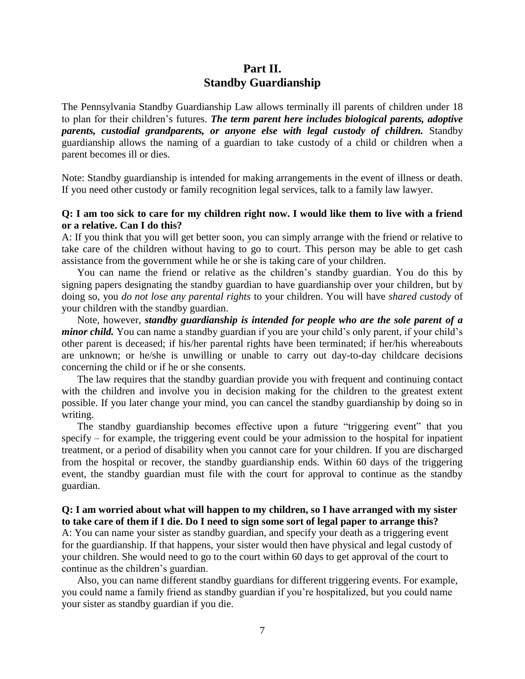# **Part II. Standby Guardianship**

The Pennsylvania Standby Guardianship Law allows terminally ill parents of children under 18 to plan for their children's futures. *The term parent here includes biological parents, adoptive parents, custodial grandparents, or anyone else with legal custody of children.* Standby guardianship allows the naming of a guardian to take custody of a child or children when a parent becomes ill or dies.

Note: Standby guardianship is intended for making arrangements in the event of illness or death. If you need other custody or family recognition legal services, talk to a family law lawyer.

#### **Q: I am too sick to care for my children right now. I would like them to live with a friend or a relative. Can I do this?**

A: If you think that you will get better soon, you can simply arrange with the friend or relative to take care of the children without having to go to court. This person may be able to get cash assistance from the government while he or she is taking care of your children.

You can name the friend or relative as the children's standby guardian. You do this by signing papers designating the standby guardian to have guardianship over your children, but by doing so, you *do not lose any parental rights* to your children. You will have *shared custody* of your children with the standby guardian.

Note, however, *standby guardianship is intended for people who are the sole parent of a minor child.* You can name a standby guardian if you are your child's only parent, if your child's other parent is deceased; if his/her parental rights have been terminated; if her/his whereabouts are unknown; or he/she is unwilling or unable to carry out day-to-day childcare decisions concerning the child or if he or she consents.

The law requires that the standby guardian provide you with frequent and continuing contact with the children and involve you in decision making for the children to the greatest extent possible. If you later change your mind, you can cancel the standby guardianship by doing so in writing.

The standby guardianship becomes effective upon a future "triggering event" that you specify – for example, the triggering event could be your admission to the hospital for inpatient treatment, or a period of disability when you cannot care for your children. If you are discharged from the hospital or recover, the standby guardianship ends. Within 60 days of the triggering event, the standby guardian must file with the court for approval to continue as the standby guardian.

#### **Q: I am worried about what will happen to my children, so I have arranged with my sister to take care of them if I die. Do I need to sign some sort of legal paper to arrange this?**

A: You can name your sister as standby guardian, and specify your death as a triggering event for the guardianship. If that happens, your sister would then have physical and legal custody of your children. She would need to go to the court within 60 days to get approval of the court to continue as the children's guardian.

Also, you can name different standby guardians for different triggering events. For example, you could name a family friend as standby guardian if you're hospitalized, but you could name your sister as standby guardian if you die.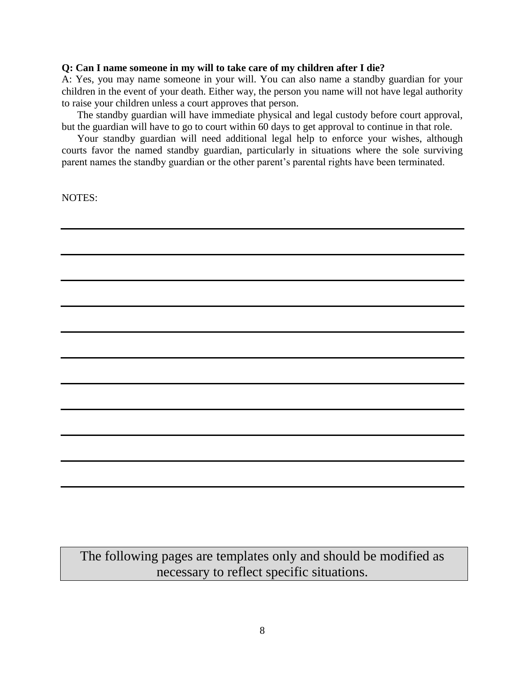#### **Q: Can I name someone in my will to take care of my children after I die?**

A: Yes, you may name someone in your will. You can also name a standby guardian for your children in the event of your death. Either way, the person you name will not have legal authority to raise your children unless a court approves that person.

The standby guardian will have immediate physical and legal custody before court approval, but the guardian will have to go to court within 60 days to get approval to continue in that role.

Your standby guardian will need additional legal help to enforce your wishes, although courts favor the named standby guardian, particularly in situations where the sole surviving parent names the standby guardian or the other parent's parental rights have been terminated.

NOTES:

The following pages are templates only and should be modified as necessary to reflect specific situations.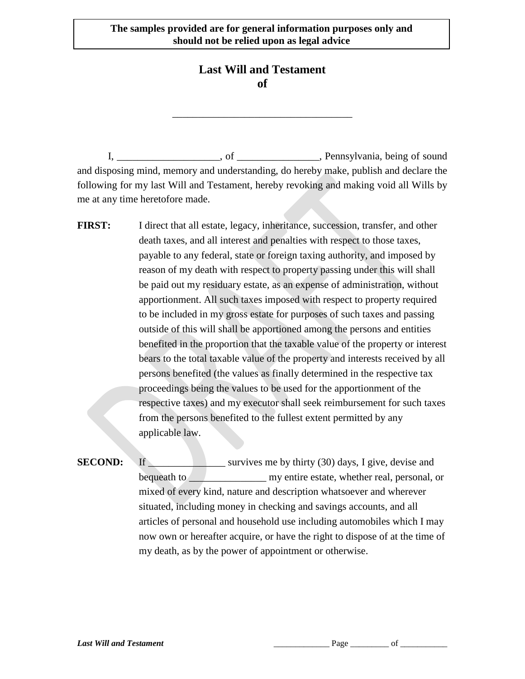# **Last Will and Testament of**

\_\_\_\_\_\_\_\_\_\_\_\_\_\_\_\_\_\_\_\_\_\_\_\_\_\_\_\_\_\_\_\_\_\_\_

I, \_\_\_\_\_\_\_\_\_\_\_\_\_\_\_\_\_\_\_\_, of \_\_\_\_\_\_\_\_\_\_\_\_\_\_\_\_, Pennsylvania, being of sound and disposing mind, memory and understanding, do hereby make, publish and declare the following for my last Will and Testament, hereby revoking and making void all Wills by me at any time heretofore made.

- **FIRST:** I direct that all estate, legacy, inheritance, succession, transfer, and other death taxes, and all interest and penalties with respect to those taxes, payable to any federal, state or foreign taxing authority, and imposed by reason of my death with respect to property passing under this will shall be paid out my residuary estate, as an expense of administration, without apportionment. All such taxes imposed with respect to property required to be included in my gross estate for purposes of such taxes and passing outside of this will shall be apportioned among the persons and entities benefited in the proportion that the taxable value of the property or interest bears to the total taxable value of the property and interests received by all persons benefited (the values as finally determined in the respective tax proceedings being the values to be used for the apportionment of the respective taxes) and my executor shall seek reimbursement for such taxes from the persons benefited to the fullest extent permitted by any applicable law.
- **SECOND:** If \_\_\_\_\_\_\_\_\_\_\_\_\_\_\_\_\_ survives me by thirty (30) days, I give, devise and bequeath to \_\_\_\_\_\_\_\_\_\_\_\_\_\_\_\_\_\_\_\_ my entire estate, whether real, personal, or mixed of every kind, nature and description whatsoever and wherever situated, including money in checking and savings accounts, and all articles of personal and household use including automobiles which I may now own or hereafter acquire, or have the right to dispose of at the time of my death, as by the power of appointment or otherwise.

**Last Will and Testament**  $\qquad \qquad \qquad$  **Page \_\_\_\_\_\_\_** of \_\_\_\_\_\_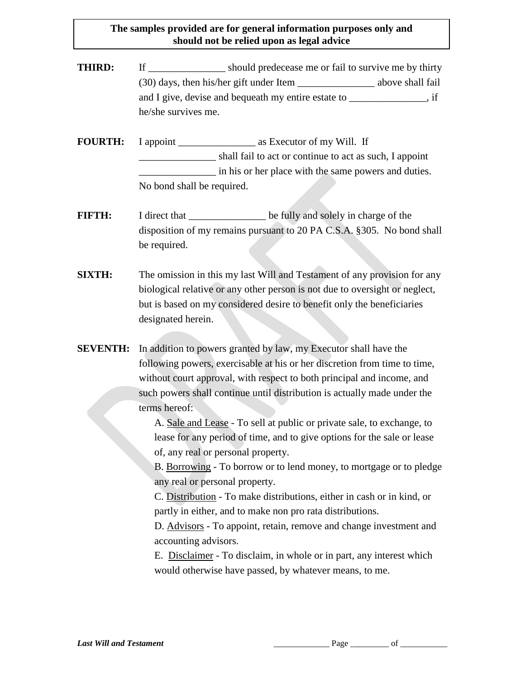**THIRD:** If should predecease me or fail to survive me by thirty (30) days, then his/her gift under Item \_\_\_\_\_\_\_\_\_\_\_\_\_\_\_ above shall fail and I give, devise and bequeath my entire estate to \_\_\_\_\_\_\_\_\_\_\_\_\_, if he/she survives me.

**FOURTH:** I appoint as Executor of my Will. If \_\_\_\_\_\_\_\_\_\_\_\_\_\_\_ shall fail to act or continue to act as such, I appoint in his or her place with the same powers and duties. No bond shall be required.

- **FIFTH:** I direct that be fully and solely in charge of the disposition of my remains pursuant to 20 PA C.S.A. §305. No bond shall be required.
- **SIXTH:** The omission in this my last Will and Testament of any provision for any biological relative or any other person is not due to oversight or neglect, but is based on my considered desire to benefit only the beneficiaries designated herein.
- **SEVENTH:** In addition to powers granted by law, my Executor shall have the following powers, exercisable at his or her discretion from time to time, without court approval, with respect to both principal and income, and such powers shall continue until distribution is actually made under the terms hereof:

A. Sale and Lease - To sell at public or private sale, to exchange, to lease for any period of time, and to give options for the sale or lease of, any real or personal property.

B. Borrowing - To borrow or to lend money, to mortgage or to pledge any real or personal property.

C. Distribution - To make distributions, either in cash or in kind, or partly in either, and to make non pro rata distributions.

D. Advisors - To appoint, retain, remove and change investment and accounting advisors.

E. Disclaimer - To disclaim, in whole or in part, any interest which would otherwise have passed, by whatever means, to me.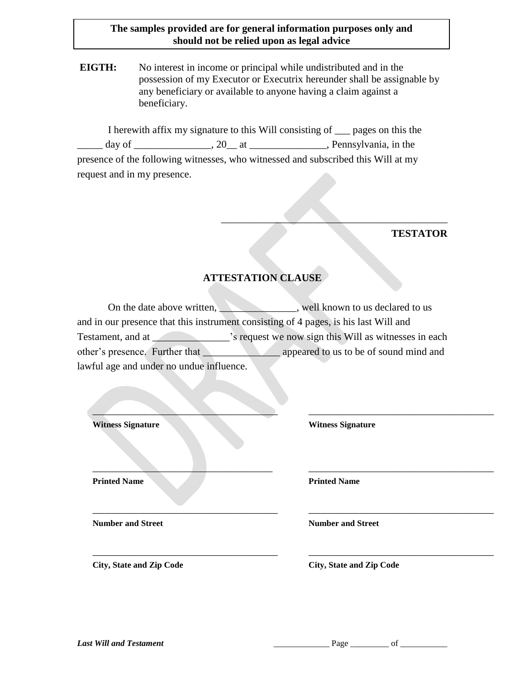**EIGTH:** No interest in income or principal while undistributed and in the possession of my Executor or Executrix hereunder shall be assignable by any beneficiary or available to anyone having a claim against a beneficiary.

I herewith affix my signature to this Will consisting of \_\_\_ pages on this the \_\_\_\_\_ day of \_\_\_\_\_\_\_\_\_\_\_\_\_\_\_, 20\_\_ at \_\_\_\_\_\_\_\_\_\_\_\_\_\_\_, Pennsylvania, in the presence of the following witnesses, who witnessed and subscribed this Will at my request and in my presence.

#### **TESTATOR**

#### **ATTESTATION CLAUSE**

 $\mathcal{L}=\mathcal{L}=\mathcal{L}=\mathcal{L}=\mathcal{L}=\mathcal{L}=\mathcal{L}=\mathcal{L}=\mathcal{L}=\mathcal{L}=\mathcal{L}=\mathcal{L}=\mathcal{L}=\mathcal{L}=\mathcal{L}=\mathcal{L}=\mathcal{L}=\mathcal{L}=\mathcal{L}=\mathcal{L}=\mathcal{L}=\mathcal{L}=\mathcal{L}=\mathcal{L}=\mathcal{L}=\mathcal{L}=\mathcal{L}=\mathcal{L}=\mathcal{L}=\mathcal{L}=\mathcal{L}=\mathcal{L}=\mathcal{L}=\mathcal{L}=\mathcal{L}=\mathcal{L}=\mathcal{$ 

On the date above written, well known to us declared to us and in our presence that this instrument consisting of 4 pages, is his last Will and Testament, and at \_\_\_\_\_\_\_\_\_\_\_\_\_\_\_'s request we now sign this Will as witnesses in each other's presence. Further that \_\_\_\_\_\_\_\_\_\_\_\_\_\_\_ appeared to us to be of sound mind and lawful age and under no undue influence.

| <b>Witness Signature</b>        | <b>Witness Signature</b>        |
|---------------------------------|---------------------------------|
| <b>Printed Name</b>             | <b>Printed Name</b>             |
| <b>Number and Street</b>        | <b>Number and Street</b>        |
| <b>City, State and Zip Code</b> | <b>City, State and Zip Code</b> |

*Last Will and Testament*  $\qquad \qquad \qquad$  **Page \_\_\_\_\_\_\_\_\_\_\_\_\_\_ of \_\_\_\_\_\_\_\_\_**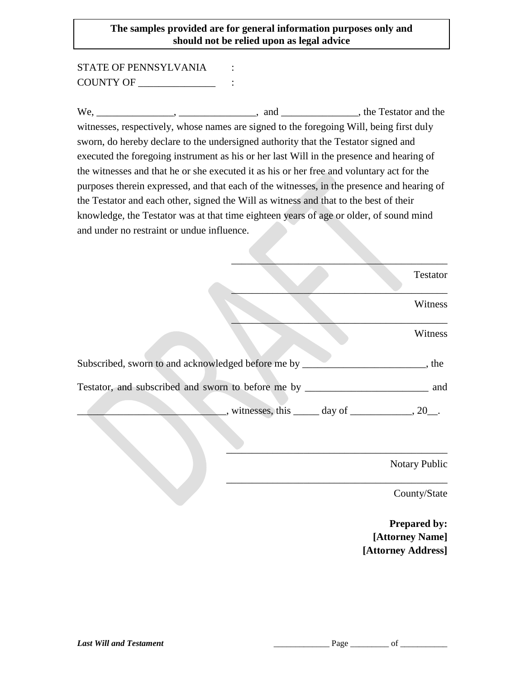STATE OF PENNSYLVANIA : COUNTY OF \_\_\_\_\_\_\_\_\_\_\_\_\_\_\_ :

We, \_\_\_\_\_\_\_\_\_\_\_\_\_, \_\_\_\_\_\_\_\_\_\_, and \_\_\_\_\_\_\_\_\_\_\_\_\_, the Testator and the witnesses, respectively, whose names are signed to the foregoing Will, being first duly sworn, do hereby declare to the undersigned authority that the Testator signed and executed the foregoing instrument as his or her last Will in the presence and hearing of the witnesses and that he or she executed it as his or her free and voluntary act for the purposes therein expressed, and that each of the witnesses, in the presence and hearing of the Testator and each other, signed the Will as witness and that to the best of their knowledge, the Testator was at that time eighteen years of age or older, of sound mind and under no restraint or undue influence.

|                                                                                   | Testator                                                                 |
|-----------------------------------------------------------------------------------|--------------------------------------------------------------------------|
|                                                                                   | Witness                                                                  |
|                                                                                   | Witness                                                                  |
| Subscribed, sworn to and acknowledged before me by _________________________, the |                                                                          |
|                                                                                   |                                                                          |
|                                                                                   | $\frac{1}{2}$ , witnesses, this $\frac{1}{2}$ day of $\frac{1}{2}$ , 20. |
|                                                                                   |                                                                          |
|                                                                                   | <b>Notary Public</b>                                                     |
|                                                                                   | County/State                                                             |

**Prepared by: [Attorney Name] [Attorney Address]**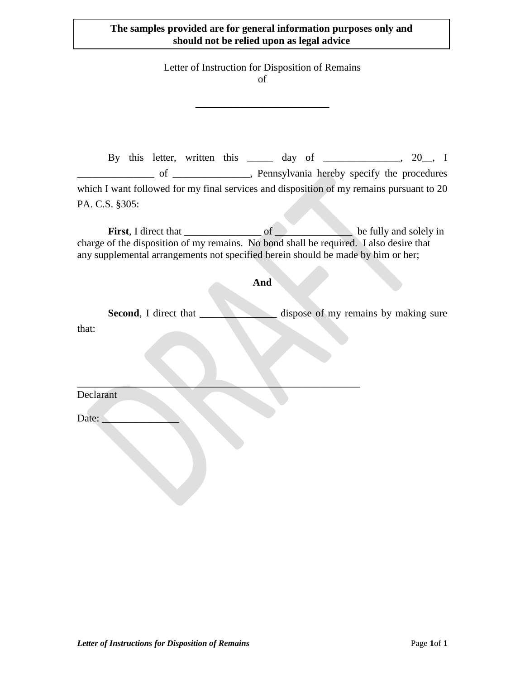Letter of Instruction for Disposition of Remains of

**\_\_\_\_\_\_\_\_\_\_\_\_\_\_\_\_\_\_\_\_\_\_\_\_\_\_**

By this letter, written this \_\_\_\_\_ day of \_\_\_\_\_\_\_\_\_\_\_, 20\_, I \_\_\_\_\_\_\_\_\_\_\_\_\_\_\_ of \_\_\_\_\_\_\_\_\_\_\_\_\_\_\_, Pennsylvania hereby specify the procedures which I want followed for my final services and disposition of my remains pursuant to 20 PA. C.S. §305:

First, I direct that  $\qquad \qquad$  of  $\qquad \qquad$  be fully and solely in charge of the disposition of my remains. No bond shall be required. I also desire that any supplemental arrangements not specified herein should be made by him or her;

#### **And**

**Second**, I direct that \_\_\_\_\_\_\_\_\_\_\_\_\_\_\_ dispose of my remains by making sure that:

 $\mathcal{L} = \{ \mathcal{L} \mid \mathcal{L} \in \mathcal{L} \}$  , where  $\mathcal{L} = \{ \mathcal{L} \mid \mathcal{L} \in \mathcal{L} \}$ Declarant

Date: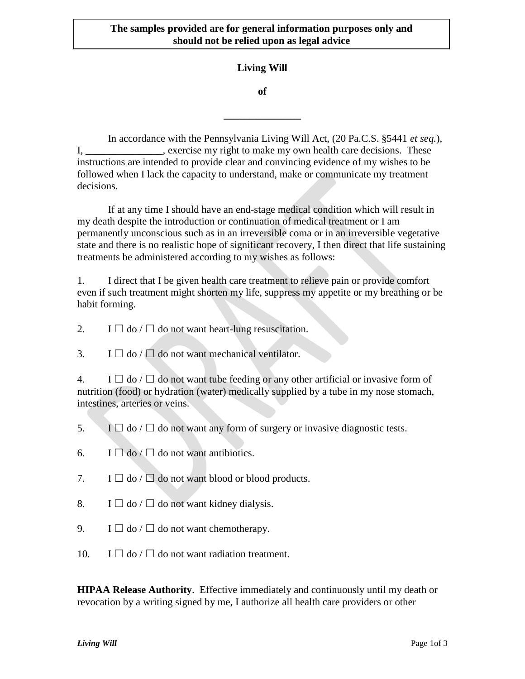### **Living Will**

**of**

**\_\_\_\_\_\_\_\_\_\_\_\_\_\_\_**

In accordance with the Pennsylvania Living Will Act, (20 Pa.C.S. §5441 *et seq.*), I, \_\_\_\_\_\_\_\_\_\_\_\_\_, exercise my right to make my own health care decisions. These instructions are intended to provide clear and convincing evidence of my wishes to be followed when I lack the capacity to understand, make or communicate my treatment decisions.

If at any time I should have an end-stage medical condition which will result in my death despite the introduction or continuation of medical treatment or I am permanently unconscious such as in an irreversible coma or in an irreversible vegetative state and there is no realistic hope of significant recovery, I then direct that life sustaining treatments be administered according to my wishes as follows:

1. I direct that I be given health care treatment to relieve pain or provide comfort even if such treatment might shorten my life, suppress my appetite or my breathing or be habit forming.

2. I  $\Box$  do /  $\Box$  do not want heart-lung resuscitation.

3. I  $\Box$  do /  $\Box$  do not want mechanical ventilator.

4. I  $\Box$  do /  $\Box$  do not want tube feeding or any other artificial or invasive form of nutrition (food) or hydration (water) medically supplied by a tube in my nose stomach, intestines, arteries or veins.

- 5. I  $\Box$  do /  $\Box$  do not want any form of surgery or invasive diagnostic tests.
- 6. I  $\Box$  do  $\Box$  do not want antibiotics.
- 7. I  $\Box$  do /  $\Box$  do not want blood or blood products.
- 8. I  $\Box$  do  $\Box$  do not want kidney dialysis.
- 9. I  $\Box$  do  $\Box$  do not want chemotherapy.
- 10. I  $\Box$  do /  $\Box$  do not want radiation treatment.

**HIPAA Release Authority**. Effective immediately and continuously until my death or revocation by a writing signed by me, I authorize all health care providers or other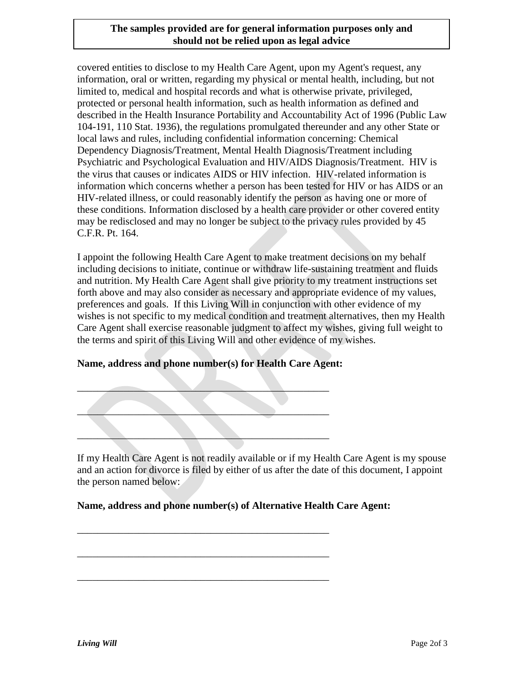covered entities to disclose to my Health Care Agent, upon my Agent's request, any information, oral or written, regarding my physical or mental health, including, but not limited to, medical and hospital records and what is otherwise private, privileged, protected or personal health information, such as health information as defined and described in the Health Insurance Portability and Accountability Act of 1996 (Public Law 104-191, 110 Stat. 1936), the regulations promulgated thereunder and any other State or local laws and rules, including confidential information concerning: Chemical Dependency Diagnosis/Treatment, Mental Health Diagnosis/Treatment including Psychiatric and Psychological Evaluation and HIV/AIDS Diagnosis/Treatment. HIV is the virus that causes or indicates AIDS or HIV infection. HIV-related information is information which concerns whether a person has been tested for HIV or has AIDS or an HIV-related illness, or could reasonably identify the person as having one or more of these conditions. Information disclosed by a health care provider or other covered entity may be redisclosed and may no longer be subject to the privacy rules provided by 45 C.F.R. Pt. 164.

I appoint the following Health Care Agent to make treatment decisions on my behalf including decisions to initiate, continue or withdraw life-sustaining treatment and fluids and nutrition. My Health Care Agent shall give priority to my treatment instructions set forth above and may also consider as necessary and appropriate evidence of my values, preferences and goals. If this Living Will in conjunction with other evidence of my wishes is not specific to my medical condition and treatment alternatives, then my Health Care Agent shall exercise reasonable judgment to affect my wishes, giving full weight to the terms and spirit of this Living Will and other evidence of my wishes.

#### **Name, address and phone number(s) for Health Care Agent:**

 $\qquad \qquad$ 

\_\_\_\_\_\_\_\_\_\_\_\_\_\_\_\_\_\_\_\_\_\_\_\_\_\_\_\_\_\_\_\_\_\_\_\_\_\_\_\_\_\_\_\_\_\_\_\_\_

 $\mathcal{L}=\mathcal{L}$  , where  $\mathcal{L}=\mathcal{L}$  , we have the set of the set of the set of the set of the set of the set of the set of the set of the set of the set of the set of the set of the set of the set of the set of the set

\_\_\_\_\_\_\_\_\_\_\_\_\_\_\_\_\_\_\_\_\_\_\_\_\_\_\_\_\_\_\_\_\_\_\_\_\_\_\_\_\_\_\_\_\_\_\_\_\_

\_\_\_\_\_\_\_\_\_\_\_\_\_\_\_\_\_\_\_\_\_\_\_\_\_\_\_\_\_\_\_\_\_\_\_\_\_\_\_\_\_\_\_\_\_\_\_\_\_

\_\_\_\_\_\_\_\_\_\_\_\_\_\_\_\_\_\_\_\_\_\_\_\_\_\_\_\_\_\_\_\_\_\_\_\_\_\_\_\_\_\_\_\_\_\_\_\_\_

If my Health Care Agent is not readily available or if my Health Care Agent is my spouse and an action for divorce is filed by either of us after the date of this document, I appoint the person named below:

#### **Name, address and phone number(s) of Alternative Health Care Agent:**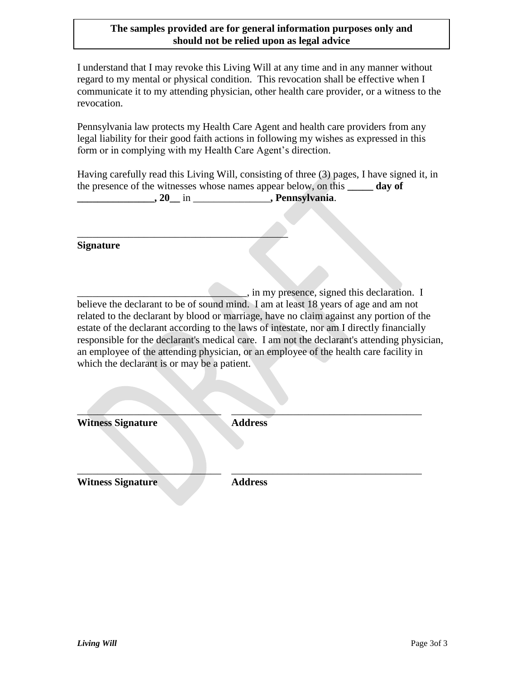I understand that I may revoke this Living Will at any time and in any manner without regard to my mental or physical condition. This revocation shall be effective when I communicate it to my attending physician, other health care provider, or a witness to the revocation.

Pennsylvania law protects my Health Care Agent and health care providers from any legal liability for their good faith actions in following my wishes as expressed in this form or in complying with my Health Care Agent's direction.

Having carefully read this Living Will, consisting of three (3) pages, I have signed it, in the presence of the witnesses whose names appear below, on this **\_\_\_\_\_ day of \_\_\_\_\_\_\_\_\_\_\_\_\_\_\_, 20\_\_** in \_\_\_\_\_\_\_\_\_\_\_\_\_\_\_**, Pennsylvania**.

 $\overline{\phantom{a}}$  , we can assume that the contract of  $\overline{\phantom{a}}$ 

**Signature**

\_\_\_\_\_\_\_\_\_\_\_\_\_\_\_\_\_\_\_\_\_\_\_\_\_\_\_\_\_\_\_\_\_, in my presence, signed this declaration. I believe the declarant to be of sound mind. I am at least 18 years of age and am not related to the declarant by blood or marriage, have no claim against any portion of the estate of the declarant according to the laws of intestate, nor am I directly financially responsible for the declarant's medical care. I am not the declarant's attending physician, an employee of the attending physician, or an employee of the health care facility in which the declarant is or may be a patient.

 $\mathcal{L}=\mathcal{L}=\mathcal{L}=\mathcal{L}=\mathcal{L}=\mathcal{L}=\mathcal{L}=\mathcal{L}=\mathcal{L}=\mathcal{L}=\mathcal{L}=\mathcal{L}=\mathcal{L}=\mathcal{L}=\mathcal{L}=\mathcal{L}=\mathcal{L}=\mathcal{L}=\mathcal{L}=\mathcal{L}=\mathcal{L}=\mathcal{L}=\mathcal{L}=\mathcal{L}=\mathcal{L}=\mathcal{L}=\mathcal{L}=\mathcal{L}=\mathcal{L}=\mathcal{L}=\mathcal{L}=\mathcal{L}=\mathcal{L}=\mathcal{L}=\mathcal{L}=\mathcal{L}=\mathcal{$ **Witness Signature Address**

**Witness Signature Address**

 $\frac{1}{2}$  ,  $\frac{1}{2}$  ,  $\frac{1}{2}$  ,  $\frac{1}{2}$  ,  $\frac{1}{2}$  ,  $\frac{1}{2}$  ,  $\frac{1}{2}$  ,  $\frac{1}{2}$  ,  $\frac{1}{2}$  ,  $\frac{1}{2}$  ,  $\frac{1}{2}$  ,  $\frac{1}{2}$  ,  $\frac{1}{2}$  ,  $\frac{1}{2}$  ,  $\frac{1}{2}$  ,  $\frac{1}{2}$  ,  $\frac{1}{2}$  ,  $\frac{1}{2}$  ,  $\frac{1$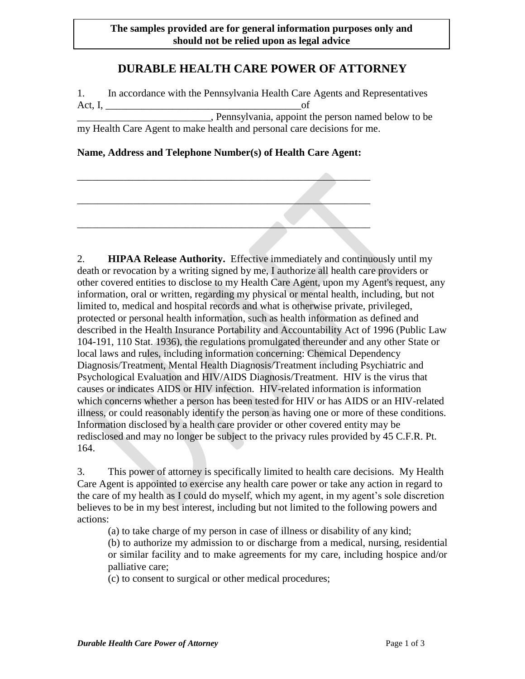# **DURABLE HEALTH CARE POWER OF ATTORNEY**

1. In accordance with the Pennsylvania Health Care Agents and Representatives Act, I,  $\qquad \qquad \text{of}$ \_\_\_\_\_\_\_\_\_\_\_\_\_\_\_\_\_\_\_\_\_\_\_\_\_\_, Pennsylvania, appoint the person named below to be my Health Care Agent to make health and personal care decisions for me.

#### **Name, Address and Telephone Number(s) of Health Care Agent:**

2. **HIPAA Release Authority.** Effective immediately and continuously until my death or revocation by a writing signed by me, I authorize all health care providers or other covered entities to disclose to my Health Care Agent, upon my Agent's request, any information, oral or written, regarding my physical or mental health, including, but not limited to, medical and hospital records and what is otherwise private, privileged, protected or personal health information, such as health information as defined and described in the Health Insurance Portability and Accountability Act of 1996 (Public Law 104-191, 110 Stat. 1936), the regulations promulgated thereunder and any other State or local laws and rules, including information concerning: Chemical Dependency Diagnosis/Treatment, Mental Health Diagnosis/Treatment including Psychiatric and Psychological Evaluation and HIV/AIDS Diagnosis/Treatment. HIV is the virus that causes or indicates AIDS or HIV infection. HIV-related information is information which concerns whether a person has been tested for HIV or has AIDS or an HIV-related illness, or could reasonably identify the person as having one or more of these conditions. Information disclosed by a health care provider or other covered entity may be redisclosed and may no longer be subject to the privacy rules provided by 45 C.F.R. Pt. 164.

3. This power of attorney is specifically limited to health care decisions. My Health Care Agent is appointed to exercise any health care power or take any action in regard to the care of my health as I could do myself, which my agent, in my agent's sole discretion believes to be in my best interest, including but not limited to the following powers and actions:

(a) to take charge of my person in case of illness or disability of any kind;

(b) to authorize my admission to or discharge from a medical, nursing, residential or similar facility and to make agreements for my care, including hospice and/or palliative care;

(c) to consent to surgical or other medical procedures;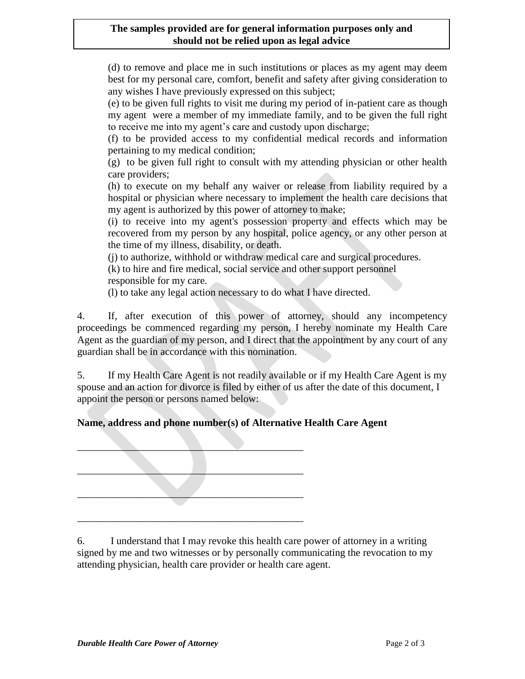(d) to remove and place me in such institutions or places as my agent may deem best for my personal care, comfort, benefit and safety after giving consideration to any wishes I have previously expressed on this subject;

(e) to be given full rights to visit me during my period of in-patient care as though my agent were a member of my immediate family, and to be given the full right to receive me into my agent's care and custody upon discharge;

(f) to be provided access to my confidential medical records and information pertaining to my medical condition;

(g) to be given full right to consult with my attending physician or other health care providers;

(h) to execute on my behalf any waiver or release from liability required by a hospital or physician where necessary to implement the health care decisions that my agent is authorized by this power of attorney to make;

(i) to receive into my agent's possession property and effects which may be recovered from my person by any hospital, police agency, or any other person at the time of my illness, disability, or death.

(j) to authorize, withhold or withdraw medical care and surgical procedures.

(k) to hire and fire medical, social service and other support personnel

responsible for my care.

(l) to take any legal action necessary to do what I have directed.

4. If, after execution of this power of attorney, should any incompetency proceedings be commenced regarding my person, I hereby nominate my Health Care Agent as the guardian of my person, and I direct that the appointment by any court of any guardian shall be in accordance with this nomination.

5. If my Health Care Agent is not readily available or if my Health Care Agent is my spouse and an action for divorce is filed by either of us after the date of this document, I appoint the person or persons named below:

# **Name, address and phone number(s) of Alternative Health Care Agent**

 $\blacksquare$  $\mathcal{L}=\{1,2,3,4,5\}$  $\mathcal{L}=\mathcal{L}=\mathcal{L}=\mathcal{L}=\mathcal{L}=\mathcal{L}=\mathcal{L}=\mathcal{L}=\mathcal{L}=\mathcal{L}=\mathcal{L}=\mathcal{L}=\mathcal{L}=\mathcal{L}=\mathcal{L}=\mathcal{L}=\mathcal{L}=\mathcal{L}=\mathcal{L}=\mathcal{L}=\mathcal{L}=\mathcal{L}=\mathcal{L}=\mathcal{L}=\mathcal{L}=\mathcal{L}=\mathcal{L}=\mathcal{L}=\mathcal{L}=\mathcal{L}=\mathcal{L}=\mathcal{L}=\mathcal{L}=\mathcal{L}=\mathcal{L}=\mathcal{L}=\mathcal{$ \_\_\_\_\_\_\_\_\_\_\_\_\_\_\_\_\_\_\_\_\_\_\_\_\_\_\_\_\_\_\_\_\_\_\_\_\_\_\_\_\_\_\_\_

6. I understand that I may revoke this health care power of attorney in a writing signed by me and two witnesses or by personally communicating the revocation to my attending physician, health care provider or health care agent.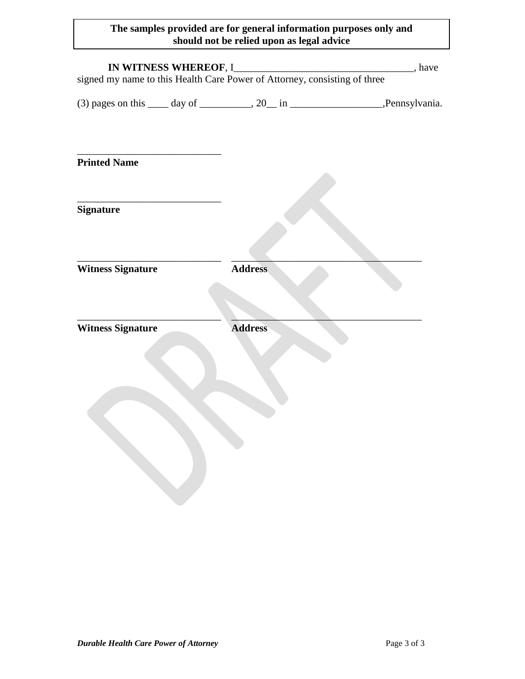| IN WITNESS WHEREOF, I______________<br>signed my name to this Health Care Power of Attorney, consisting of three |                | $\qquad \qquad$ , have |
|------------------------------------------------------------------------------------------------------------------|----------------|------------------------|
| $(3)$ pages on this $\_\_\_$ day of $\_\_\_\_$ , 20 $\_\_\_\_\$ in $\_\_\_\_\_\_\_\_\_$ . Pennsylvania.          |                |                        |
| <b>Printed Name</b>                                                                                              |                |                        |
| <b>Signature</b>                                                                                                 |                |                        |
| <b>Witness Signature</b>                                                                                         | <b>Address</b> |                        |
| <b>Witness Signature</b>                                                                                         | <b>Address</b> |                        |
|                                                                                                                  |                |                        |
|                                                                                                                  |                |                        |
|                                                                                                                  |                |                        |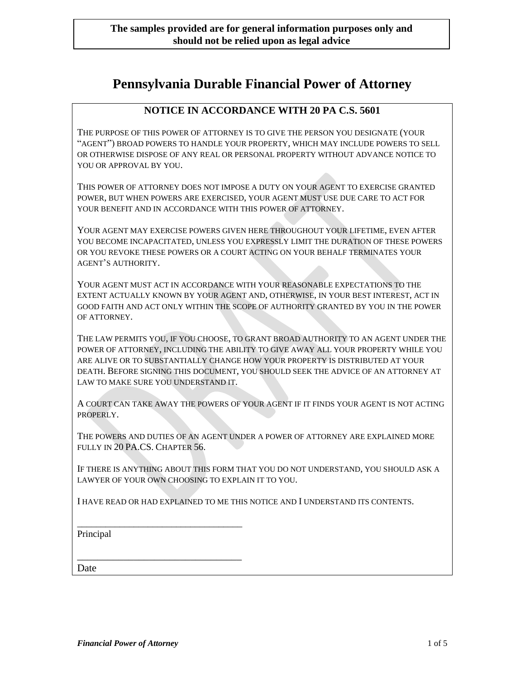# **Pennsylvania Durable Financial Power of Attorney**

#### **NOTICE IN ACCORDANCE WITH 20 PA C.S. 5601**

THE PURPOSE OF THIS POWER OF ATTORNEY IS TO GIVE THE PERSON YOU DESIGNATE (YOUR "AGENT") BROAD POWERS TO HANDLE YOUR PROPERTY, WHICH MAY INCLUDE POWERS TO SELL OR OTHERWISE DISPOSE OF ANY REAL OR PERSONAL PROPERTY WITHOUT ADVANCE NOTICE TO YOU OR APPROVAL BY YOU.

THIS POWER OF ATTORNEY DOES NOT IMPOSE A DUTY ON YOUR AGENT TO EXERCISE GRANTED POWER, BUT WHEN POWERS ARE EXERCISED, YOUR AGENT MUST USE DUE CARE TO ACT FOR YOUR BENEFIT AND IN ACCORDANCE WITH THIS POWER OF ATTORNEY.

YOUR AGENT MAY EXERCISE POWERS GIVEN HERE THROUGHOUT YOUR LIFETIME, EVEN AFTER YOU BECOME INCAPACITATED, UNLESS YOU EXPRESSLY LIMIT THE DURATION OF THESE POWERS OR YOU REVOKE THESE POWERS OR A COURT ACTING ON YOUR BEHALF TERMINATES YOUR AGENT'S AUTHORITY.

YOUR AGENT MUST ACT IN ACCORDANCE WITH YOUR REASONABLE EXPECTATIONS TO THE EXTENT ACTUALLY KNOWN BY YOUR AGENT AND, OTHERWISE, IN YOUR BEST INTEREST, ACT IN GOOD FAITH AND ACT ONLY WITHIN THE SCOPE OF AUTHORITY GRANTED BY YOU IN THE POWER OF ATTORNEY.

THE LAW PERMITS YOU, IF YOU CHOOSE, TO GRANT BROAD AUTHORITY TO AN AGENT UNDER THE POWER OF ATTORNEY, INCLUDING THE ABILITY TO GIVE AWAY ALL YOUR PROPERTY WHILE YOU ARE ALIVE OR TO SUBSTANTIALLY CHANGE HOW YOUR PROPERTY IS DISTRIBUTED AT YOUR DEATH. BEFORE SIGNING THIS DOCUMENT, YOU SHOULD SEEK THE ADVICE OF AN ATTORNEY AT LAW TO MAKE SURE YOU UNDERSTAND IT.

A COURT CAN TAKE AWAY THE POWERS OF YOUR AGENT IF IT FINDS YOUR AGENT IS NOT ACTING PROPERLY.

THE POWERS AND DUTIES OF AN AGENT UNDER A POWER OF ATTORNEY ARE EXPLAINED MORE FULLY IN 20 PA.CS. CHAPTER 56.

IF THERE IS ANYTHING ABOUT THIS FORM THAT YOU DO NOT UNDERSTAND, YOU SHOULD ASK A LAWYER OF YOUR OWN CHOOSING TO EXPLAIN IT TO YOU.

I HAVE READ OR HAD EXPLAINED TO ME THIS NOTICE AND I UNDERSTAND ITS CONTENTS.

\_\_\_\_\_\_\_\_\_\_\_\_\_\_\_\_\_\_\_\_\_\_\_\_\_\_\_\_\_\_\_\_\_\_\_ Principal

\_\_\_\_\_\_\_\_\_\_\_\_\_\_\_\_\_\_\_\_\_\_\_\_\_\_\_\_\_\_\_\_ Date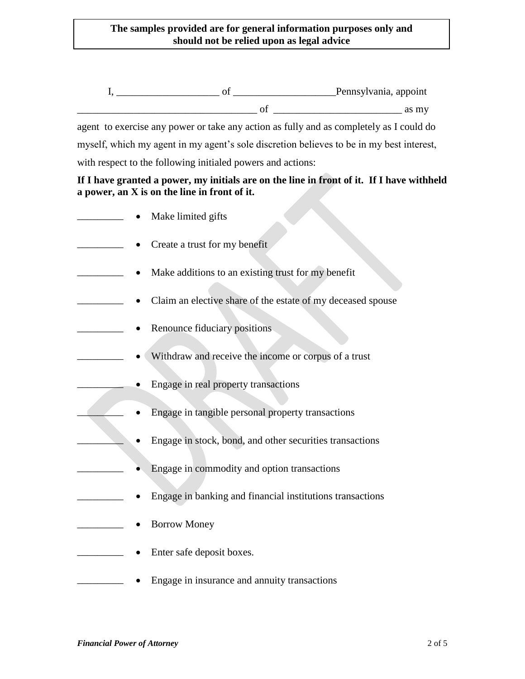I, \_\_\_\_\_\_\_\_\_\_\_\_\_\_\_\_\_\_\_\_ of \_\_\_\_\_\_\_\_\_\_\_\_\_\_\_\_\_\_\_\_Pennsylvania, appoint  $\sigma$  of  $\sigma$  as my

agent to exercise any power or take any action as fully and as completely as I could do myself, which my agent in my agent's sole discretion believes to be in my best interest, with respect to the following initialed powers and actions:

**If I have granted a power, my initials are on the line in front of it. If I have withheld a power, an X is on the line in front of it.** 

| Make limited gifts                                          |
|-------------------------------------------------------------|
| Create a trust for my benefit                               |
| Make additions to an existing trust for my benefit          |
| Claim an elective share of the estate of my deceased spouse |
| Renounce fiduciary positions                                |
| Withdraw and receive the income or corpus of a trust        |
| Engage in real property transactions                        |
| Engage in tangible personal property transactions           |
| Engage in stock, bond, and other securities transactions    |
| Engage in commodity and option transactions                 |
| Engage in banking and financial institutions transactions   |
| <b>Borrow Money</b>                                         |
| Enter safe deposit boxes.                                   |
| Engage in insurance and annuity transactions                |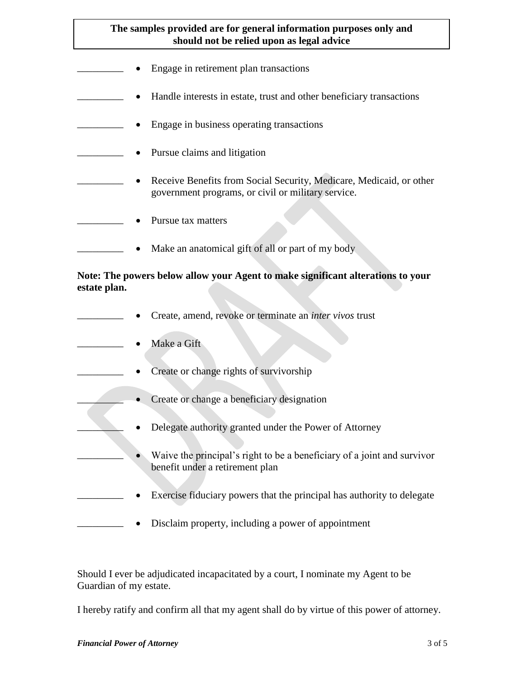- Engage in retirement plan transactions
- Handle interests in estate, trust and other beneficiary transactions
- Engage in business operating transactions
	- Pursue claims and litigation
		- \_\_\_\_\_\_\_\_\_ Receive Benefits from Social Security, Medicare, Medicaid, or other government programs, or civil or military service.
- Pursue tax matters
- Make an anatomical gift of all or part of my body

#### **Note: The powers below allow your Agent to make significant alterations to your estate plan.**

- \_\_\_\_\_\_\_\_\_ Create, amend, revoke or terminate an *inter vivos* trust
- Make a Gift
	- Create or change rights of survivorship
	- Create or change a beneficiary designation
		- Delegate authority granted under the Power of Attorney
		- Waive the principal's right to be a beneficiary of a joint and survivor benefit under a retirement plan
- Exercise fiduciary powers that the principal has authority to delegate
	- Disclaim property, including a power of appointment

Should I ever be adjudicated incapacitated by a court, I nominate my Agent to be Guardian of my estate.

I hereby ratify and confirm all that my agent shall do by virtue of this power of attorney.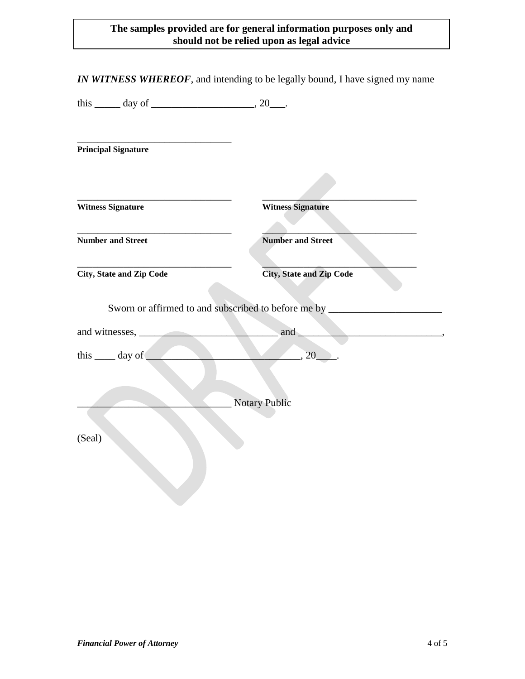| this $\_\_\_$ day of $\_\_\_\_\_\_$ , 20 $\_\_\_\_\$ . |                                                                                         |
|--------------------------------------------------------|-----------------------------------------------------------------------------------------|
| <b>Principal Signature</b>                             |                                                                                         |
|                                                        |                                                                                         |
| <b>Witness Signature</b>                               | <b>Witness Signature</b>                                                                |
| <b>Number and Street</b>                               | <b>Number and Street</b>                                                                |
| City, State and Zip Code                               | <b>City, State and Zip Code</b>                                                         |
|                                                        | Sworn or affirmed to and subscribed to before me by ____________________________<br>and |
|                                                        |                                                                                         |
| this $\_\_\_$ day of $\_\_\_\_$                        | $\overline{\phantom{a}}$ , 20                                                           |
|                                                        |                                                                                         |
|                                                        | <b>Notary Public</b>                                                                    |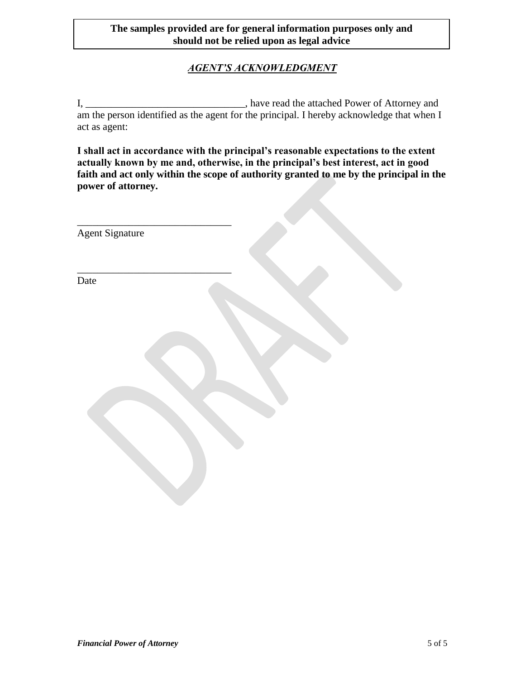# *AGENT'S ACKNOWLEDGMENT*

I, \_\_\_\_\_\_\_\_\_\_\_\_\_\_\_\_\_\_\_\_\_\_\_\_\_\_\_\_\_\_\_\_\_, have read the attached Power of Attorney and am the person identified as the agent for the principal. I hereby acknowledge that when I act as agent:

**I shall act in accordance with the principal's reasonable expectations to the extent actually known by me and, otherwise, in the principal's best interest, act in good faith and act only within the scope of authority granted to me by the principal in the power of attorney.**

| Agent Signature |  |
|-----------------|--|
|                 |  |
| Date            |  |
|                 |  |
|                 |  |
|                 |  |
|                 |  |
|                 |  |
|                 |  |
|                 |  |
|                 |  |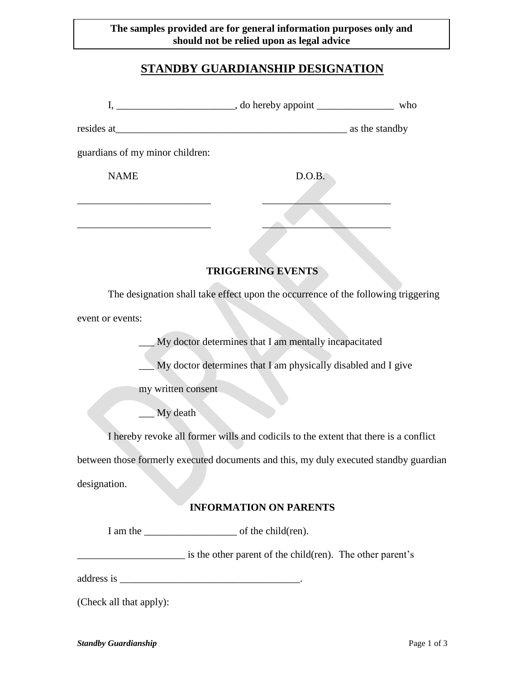# **STANDBY GUARDIANSHIP DESIGNATION**

| guardians of my minor children: |                                                                                       |  |
|---------------------------------|---------------------------------------------------------------------------------------|--|
| <b>NAME</b>                     | D.O.B.                                                                                |  |
|                                 |                                                                                       |  |
|                                 |                                                                                       |  |
|                                 |                                                                                       |  |
|                                 | <b>TRIGGERING EVENTS</b>                                                              |  |
|                                 | The designation shall take effect upon the occurrence of the following triggering     |  |
| event or events:                |                                                                                       |  |
|                                 | My doctor determines that I am mentally incapacitated                                 |  |
|                                 | My doctor determines that I am physically disabled and I give                         |  |
| my written consent              |                                                                                       |  |
| My death                        |                                                                                       |  |
|                                 | I hereby revoke all former wills and codicils to the extent that there is a conflict  |  |
|                                 | between those formerly executed documents and this, my duly executed standby guardian |  |
| designation.                    |                                                                                       |  |
|                                 | <b>INFORMATION ON PARENTS</b>                                                         |  |
|                                 |                                                                                       |  |
|                                 |                                                                                       |  |
|                                 | is the other parent of the child(ren). The other parent's                             |  |
|                                 |                                                                                       |  |

(Check all that apply):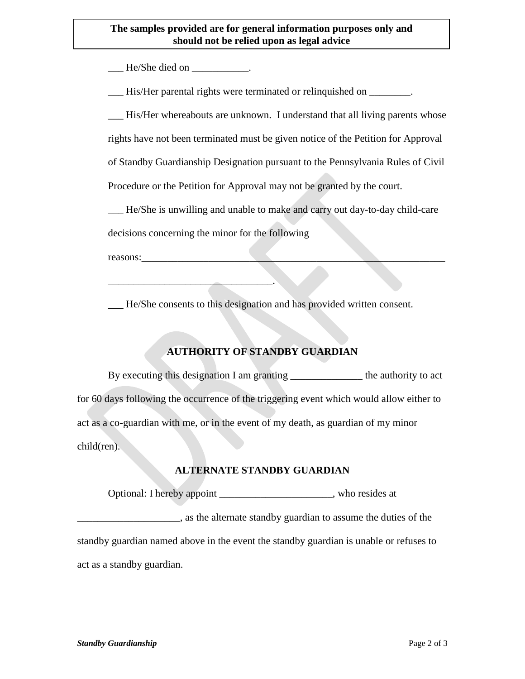He/She died on  $\qquad \qquad$ 

\_\_\_ His/Her parental rights were terminated or relinquished on \_\_\_\_\_\_\_\_.

His/Her whereabouts are unknown. I understand that all living parents whose

rights have not been terminated must be given notice of the Petition for Approval

of Standby Guardianship Designation pursuant to the Pennsylvania Rules of Civil

Procedure or the Petition for Approval may not be granted by the court.

\_\_\_ He/She is unwilling and unable to make and carry out day-to-day child-care

decisions concerning the minor for the following

\_\_\_\_\_\_\_\_\_\_\_\_\_\_\_\_\_\_\_\_\_\_\_\_\_\_\_\_\_\_\_\_.

reasons:

\_\_\_ He/She consents to this designation and has provided written consent.

# **AUTHORITY OF STANDBY GUARDIAN**

By executing this designation I am granting \_\_\_\_\_\_\_\_\_\_\_\_\_\_ the authority to act for 60 days following the occurrence of the triggering event which would allow either to act as a co-guardian with me, or in the event of my death, as guardian of my minor child(ren).

# **ALTERNATE STANDBY GUARDIAN**

Optional: I hereby appoint \_\_\_\_\_\_\_\_\_\_\_\_\_\_\_\_\_\_\_\_\_\_, who resides at

 $\Box$ , as the alternate standby guardian to assume the duties of the standby guardian named above in the event the standby guardian is unable or refuses to

act as a standby guardian.